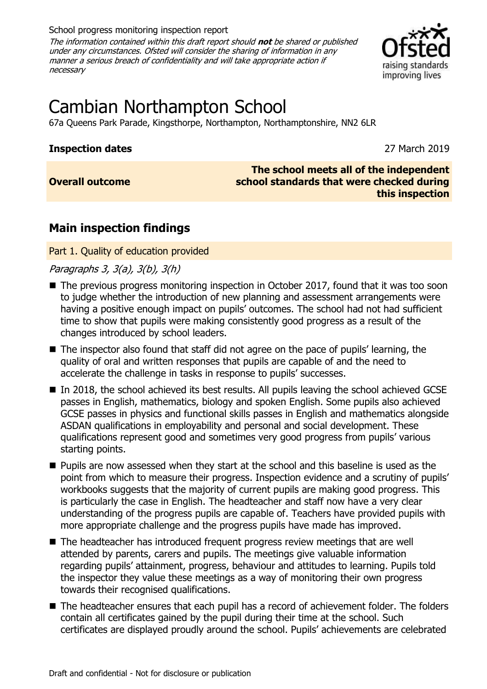School progress monitoring inspection report

The information contained within this draft report should **not** be shared or published under any circumstances. Ofsted will consider the sharing of information in any manner a serious breach of confidentiality and will take appropriate action if necessary



# Cambian Northampton School

67a Queens Park Parade, Kingsthorpe, Northampton, Northamptonshire, NN2 6LR

## **Inspection dates** 27 March 2019

**Overall outcome**

#### **The school meets all of the independent school standards that were checked during this inspection**

## **Main inspection findings**

Part 1. Quality of education provided

Paragraphs 3, 3(a), 3(b), 3(h)

- The previous progress monitoring inspection in October 2017, found that it was too soon to judge whether the introduction of new planning and assessment arrangements were having a positive enough impact on pupils' outcomes. The school had not had sufficient time to show that pupils were making consistently good progress as a result of the changes introduced by school leaders.
- The inspector also found that staff did not agree on the pace of pupils' learning, the quality of oral and written responses that pupils are capable of and the need to accelerate the challenge in tasks in response to pupils' successes.
- In 2018, the school achieved its best results. All pupils leaving the school achieved GCSE passes in English, mathematics, biology and spoken English. Some pupils also achieved GCSE passes in physics and functional skills passes in English and mathematics alongside ASDAN qualifications in employability and personal and social development. These qualifications represent good and sometimes very good progress from pupils' various starting points.
- Pupils are now assessed when they start at the school and this baseline is used as the point from which to measure their progress. Inspection evidence and a scrutiny of pupils' workbooks suggests that the majority of current pupils are making good progress. This is particularly the case in English. The headteacher and staff now have a very clear understanding of the progress pupils are capable of. Teachers have provided pupils with more appropriate challenge and the progress pupils have made has improved.
- The headteacher has introduced frequent progress review meetings that are well attended by parents, carers and pupils. The meetings give valuable information regarding pupils' attainment, progress, behaviour and attitudes to learning. Pupils told the inspector they value these meetings as a way of monitoring their own progress towards their recognised qualifications.
- The headteacher ensures that each pupil has a record of achievement folder. The folders contain all certificates gained by the pupil during their time at the school. Such certificates are displayed proudly around the school. Pupils' achievements are celebrated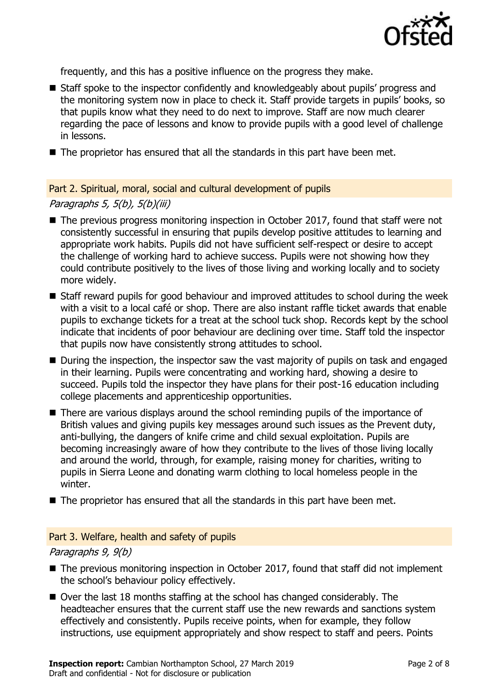

frequently, and this has a positive influence on the progress they make.

- Staff spoke to the inspector confidently and knowledgeably about pupils' progress and the monitoring system now in place to check it. Staff provide targets in pupils' books, so that pupils know what they need to do next to improve. Staff are now much clearer regarding the pace of lessons and know to provide pupils with a good level of challenge in lessons.
- The proprietor has ensured that all the standards in this part have been met.

Part 2. Spiritual, moral, social and cultural development of pupils

Paragraphs 5, 5(b), 5(b)(iii)

- The previous progress monitoring inspection in October 2017, found that staff were not consistently successful in ensuring that pupils develop positive attitudes to learning and appropriate work habits. Pupils did not have sufficient self-respect or desire to accept the challenge of working hard to achieve success. Pupils were not showing how they could contribute positively to the lives of those living and working locally and to society more widely.
- Staff reward pupils for good behaviour and improved attitudes to school during the week with a visit to a local café or shop. There are also instant raffle ticket awards that enable pupils to exchange tickets for a treat at the school tuck shop. Records kept by the school indicate that incidents of poor behaviour are declining over time. Staff told the inspector that pupils now have consistently strong attitudes to school.
- During the inspection, the inspector saw the vast majority of pupils on task and engaged in their learning. Pupils were concentrating and working hard, showing a desire to succeed. Pupils told the inspector they have plans for their post-16 education including college placements and apprenticeship opportunities.
- There are various displays around the school reminding pupils of the importance of British values and giving pupils key messages around such issues as the Prevent duty, anti-bullying, the dangers of knife crime and child sexual exploitation. Pupils are becoming increasingly aware of how they contribute to the lives of those living locally and around the world, through, for example, raising money for charities, writing to pupils in Sierra Leone and donating warm clothing to local homeless people in the winter.
- The proprietor has ensured that all the standards in this part have been met.

### Part 3. Welfare, health and safety of pupils

Paragraphs 9, 9(b)

- The previous monitoring inspection in October 2017, found that staff did not implement the school's behaviour policy effectively.
- Over the last 18 months staffing at the school has changed considerably. The headteacher ensures that the current staff use the new rewards and sanctions system effectively and consistently. Pupils receive points, when for example, they follow instructions, use equipment appropriately and show respect to staff and peers. Points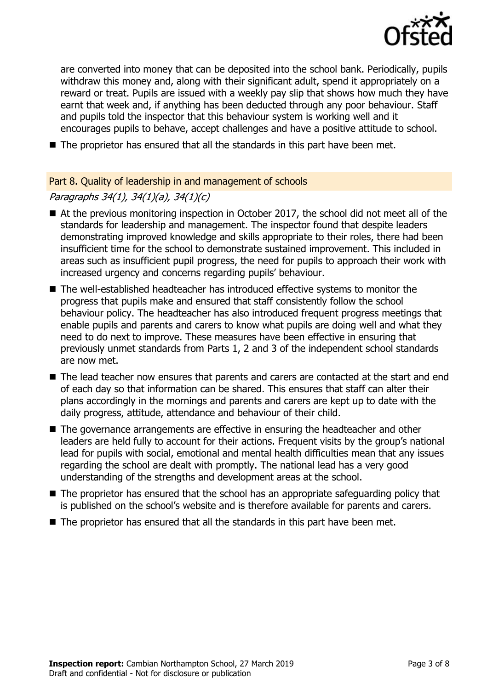

are converted into money that can be deposited into the school bank. Periodically, pupils withdraw this money and, along with their significant adult, spend it appropriately on a reward or treat. Pupils are issued with a weekly pay slip that shows how much they have earnt that week and, if anything has been deducted through any poor behaviour. Staff and pupils told the inspector that this behaviour system is working well and it encourages pupils to behave, accept challenges and have a positive attitude to school.

■ The proprietor has ensured that all the standards in this part have been met.

## Part 8. Quality of leadership in and management of schools

## Paragraphs 34(1), 34(1)(a), 34(1)(c)

- At the previous monitoring inspection in October 2017, the school did not meet all of the standards for leadership and management. The inspector found that despite leaders demonstrating improved knowledge and skills appropriate to their roles, there had been insufficient time for the school to demonstrate sustained improvement. This included in areas such as insufficient pupil progress, the need for pupils to approach their work with increased urgency and concerns regarding pupils' behaviour.
- The well-established headteacher has introduced effective systems to monitor the progress that pupils make and ensured that staff consistently follow the school behaviour policy. The headteacher has also introduced frequent progress meetings that enable pupils and parents and carers to know what pupils are doing well and what they need to do next to improve. These measures have been effective in ensuring that previously unmet standards from Parts 1, 2 and 3 of the independent school standards are now met.
- The lead teacher now ensures that parents and carers are contacted at the start and end of each day so that information can be shared. This ensures that staff can alter their plans accordingly in the mornings and parents and carers are kept up to date with the daily progress, attitude, attendance and behaviour of their child.
- The governance arrangements are effective in ensuring the headteacher and other leaders are held fully to account for their actions. Frequent visits by the group's national lead for pupils with social, emotional and mental health difficulties mean that any issues regarding the school are dealt with promptly. The national lead has a very good understanding of the strengths and development areas at the school.
- The proprietor has ensured that the school has an appropriate safeguarding policy that is published on the school's website and is therefore available for parents and carers.
- The proprietor has ensured that all the standards in this part have been met.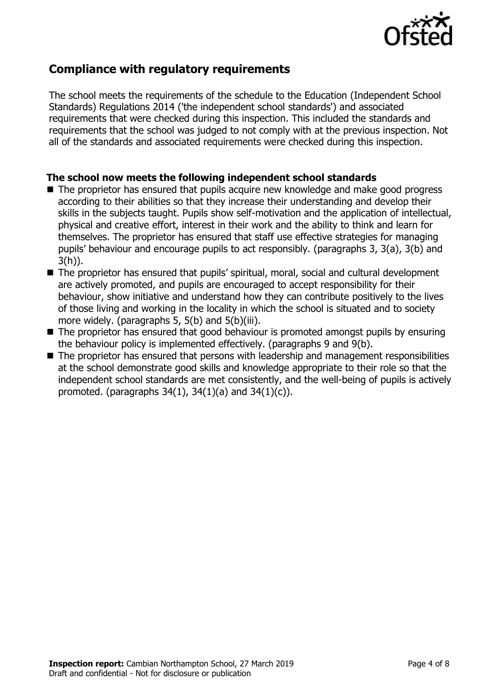

## **Compliance with regulatory requirements**

The school meets the requirements of the schedule to the Education (Independent School Standards) Regulations 2014 ('the independent school standards') and associated requirements that were checked during this inspection. This included the standards and requirements that the school was judged to not comply with at the previous inspection. Not all of the standards and associated requirements were checked during this inspection.

### **The school now meets the following independent school standards**

- The proprietor has ensured that pupils acquire new knowledge and make good progress according to their abilities so that they increase their understanding and develop their skills in the subjects taught. Pupils show self-motivation and the application of intellectual, physical and creative effort, interest in their work and the ability to think and learn for themselves. The proprietor has ensured that staff use effective strategies for managing pupils' behaviour and encourage pupils to act responsibly. (paragraphs 3, 3(a), 3(b) and 3(h)).
- The proprietor has ensured that pupils' spiritual, moral, social and cultural development are actively promoted, and pupils are encouraged to accept responsibility for their behaviour, show initiative and understand how they can contribute positively to the lives of those living and working in the locality in which the school is situated and to society more widely. (paragraphs 5, 5(b) and 5(b)(iii).
- The proprietor has ensured that good behaviour is promoted amongst pupils by ensuring the behaviour policy is implemented effectively. (paragraphs 9 and 9(b).
- The proprietor has ensured that persons with leadership and management responsibilities at the school demonstrate good skills and knowledge appropriate to their role so that the independent school standards are met consistently, and the well-being of pupils is actively promoted. (paragraphs  $34(1)$ ,  $34(1)(a)$  and  $34(1)(c)$ ).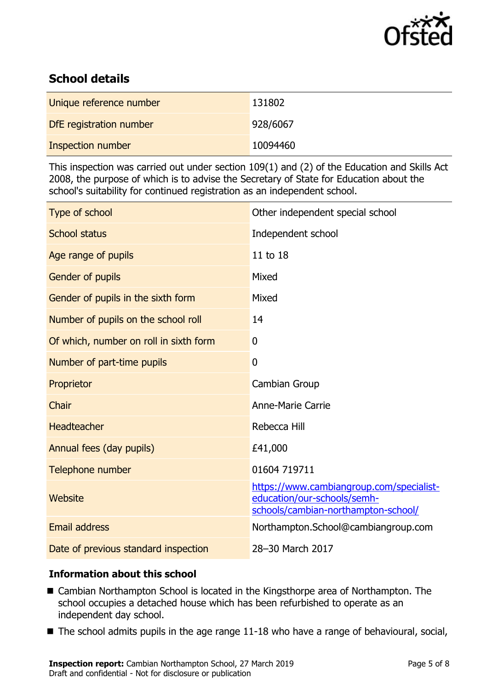

## **School details**

| Unique reference number | 131802   |
|-------------------------|----------|
| DfE registration number | 928/6067 |
| Inspection number       | 10094460 |

This inspection was carried out under section 109(1) and (2) of the Education and Skills Act 2008, the purpose of which is to advise the Secretary of State for Education about the school's suitability for continued registration as an independent school.

| Type of school                         | Other independent special school                                                                               |
|----------------------------------------|----------------------------------------------------------------------------------------------------------------|
| <b>School status</b>                   | Independent school                                                                                             |
| Age range of pupils                    | 11 to 18                                                                                                       |
| Gender of pupils                       | Mixed                                                                                                          |
| Gender of pupils in the sixth form     | Mixed                                                                                                          |
| Number of pupils on the school roll    | 14                                                                                                             |
| Of which, number on roll in sixth form | 0                                                                                                              |
| Number of part-time pupils             | 0                                                                                                              |
| Proprietor                             | Cambian Group                                                                                                  |
| Chair                                  | <b>Anne-Marie Carrie</b>                                                                                       |
| Headteacher                            | Rebecca Hill                                                                                                   |
| Annual fees (day pupils)               | £41,000                                                                                                        |
| Telephone number                       | 01604 719711                                                                                                   |
| Website                                | https://www.cambiangroup.com/specialist-<br>education/our-schools/semh-<br>schools/cambian-northampton-school/ |
| <b>Email address</b>                   | Northampton.School@cambiangroup.com                                                                            |
| Date of previous standard inspection   | 28-30 March 2017                                                                                               |

## **Information about this school**

- Cambian Northampton School is located in the Kingsthorpe area of Northampton. The school occupies a detached house which has been refurbished to operate as an independent day school.
- The school admits pupils in the age range 11-18 who have a range of behavioural, social,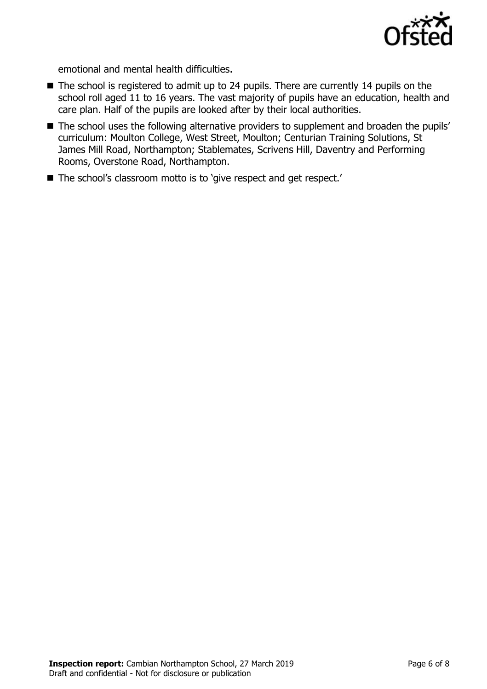

emotional and mental health difficulties.

- The school is registered to admit up to 24 pupils. There are currently 14 pupils on the school roll aged 11 to 16 years. The vast majority of pupils have an education, health and care plan. Half of the pupils are looked after by their local authorities.
- The school uses the following alternative providers to supplement and broaden the pupils' curriculum: Moulton College, West Street, Moulton; Centurian Training Solutions, St James Mill Road, Northampton; Stablemates, Scrivens Hill, Daventry and Performing Rooms, Overstone Road, Northampton.
- The school's classroom motto is to 'give respect and get respect.'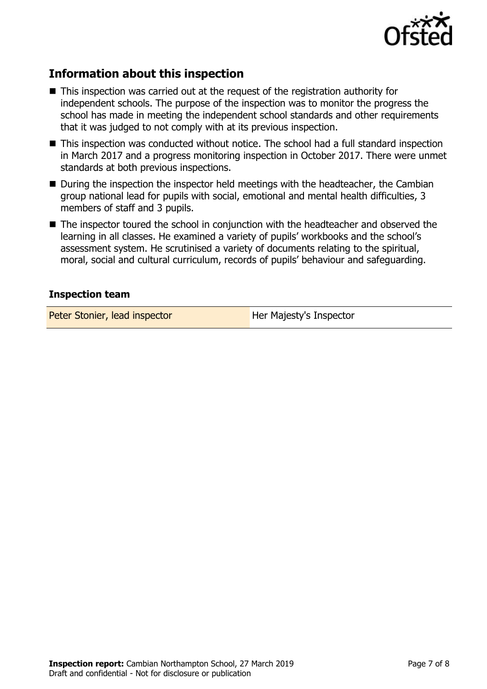

## **Information about this inspection**

- This inspection was carried out at the request of the registration authority for independent schools. The purpose of the inspection was to monitor the progress the school has made in meeting the independent school standards and other requirements that it was judged to not comply with at its previous inspection.
- This inspection was conducted without notice. The school had a full standard inspection in March 2017 and a progress monitoring inspection in October 2017. There were unmet standards at both previous inspections.
- During the inspection the inspector held meetings with the headteacher, the Cambian group national lead for pupils with social, emotional and mental health difficulties, 3 members of staff and 3 pupils.
- The inspector toured the school in conjunction with the headteacher and observed the learning in all classes. He examined a variety of pupils' workbooks and the school's assessment system. He scrutinised a variety of documents relating to the spiritual, moral, social and cultural curriculum, records of pupils' behaviour and safeguarding.

### **Inspection team**

Peter Stonier, lead inspector **Her Majesty's Inspector**